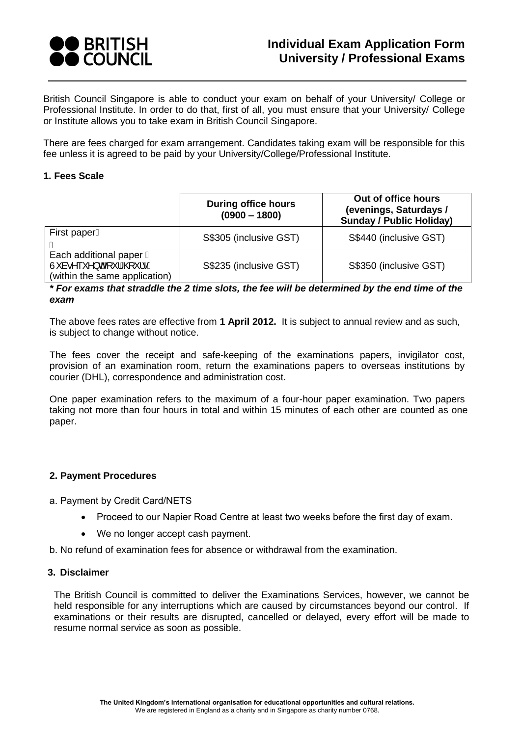

British Council Singapore is able to conduct your exam on behalf of your University/ College or Professional Institute. In order to do that, first of all, you must ensure that your University/ College or Institute allows you to take exam in British Council Singapore.

There are fees charged for exam arrangement. Candidates taking exam will be responsible for this fee unless it is agreed to be paid by your University/College/Professional Institute.

### **1. Fees Scale**

|                                                                                                  | <b>During office hours</b><br>$(0900 - 1800)$ | Out of office hours<br>(evenings, Saturdays /<br><b>Sunday / Public Holiday)</b> |  |
|--------------------------------------------------------------------------------------------------|-----------------------------------------------|----------------------------------------------------------------------------------|--|
| First paperA                                                                                     | S\$305 (inclusive GST)                        | S\$440 (inclusive GST)                                                           |  |
| Each additional paper <b>Đ</b><br>Ù à•^ ` `^} o4 \   AQ `   • A<br>(within the same application) | S\$235 (inclusive GST)                        | S\$350 (inclusive GST)                                                           |  |

*\* For exams that straddle the 2 time slots, the fee will be determined by the end time of the exam*

The above fees rates are effective from **1 April 2012.** It is subject to annual review and as such, is subject to change without notice.

The fees cover the receipt and safe-keeping of the examinations papers, invigilator cost, provision of an examination room, return the examinations papers to overseas institutions by courier (DHL), correspondence and administration cost.

One paper examination refers to the maximum of a four-hour paper examination. Two papers taking not more than four hours in total and within 15 minutes of each other are counted as one paper.

## **2. Payment Procedures**

a. Payment by Credit Card/NETS

- Proceed to our Napier Road Centre at least two weeks before the first day of exam.
- We no longer accept cash payment.
- b. No refund of examination fees for absence or withdrawal from the examination.

## **3. Disclaimer**

The British Council is committed to deliver the Examinations Services, however, we cannot be held responsible for any interruptions which are caused by circumstances beyond our control. If examinations or their results are disrupted, cancelled or delayed, every effort will be made to resume normal service as soon as possible.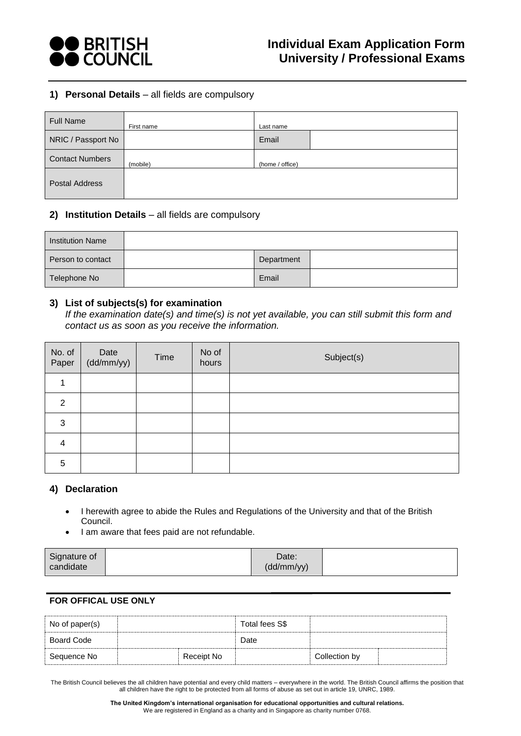

## **1) Personal Details** – all fields are compulsory

| <b>Full Name</b>       | First name | Last name       |
|------------------------|------------|-----------------|
| NRIC / Passport No     |            | Email           |
| <b>Contact Numbers</b> | (mobile)   | (home / office) |
| <b>Postal Address</b>  |            |                 |

## **2) Institution Details** – all fields are compulsory

| <b>Institution Name</b> |            |  |
|-------------------------|------------|--|
| Person to contact       | Department |  |
| Telephone No            | Email      |  |

#### **3) List of subjects(s) for examination**

*If the examination date(s) and time(s) is not yet available, you can still submit this form and contact us as soon as you receive the information.*

| No. of<br>Paper | Date<br>(dd/mm/yy) | Time | No of<br>hours | Subject(s) |
|-----------------|--------------------|------|----------------|------------|
|                 |                    |      |                |            |
| $\overline{2}$  |                    |      |                |            |
| 3               |                    |      |                |            |
| 4               |                    |      |                |            |
| 5               |                    |      |                |            |

#### **4) Declaration**

- I herewith agree to abide the Rules and Regulations of the University and that of the British Council.
- I am aware that fees paid are not refundable.

| Signature of | Date:      |  |
|--------------|------------|--|
| candidate    | (dd/mm/yy) |  |

### **FOR OFFICAL USE ONLY**

| No of paper(s) |            | Total fees S\$ |               |  |
|----------------|------------|----------------|---------------|--|
| Board Code     |            | Date           |               |  |
| Sequence No    | Receipt No |                | Collection by |  |

The British Council believes the all children have potential and every child matters – everywhere in the world. The British Council affirms the position that all children have the right to be protected from all forms of abuse as set out in article 19, UNRC, 1989.